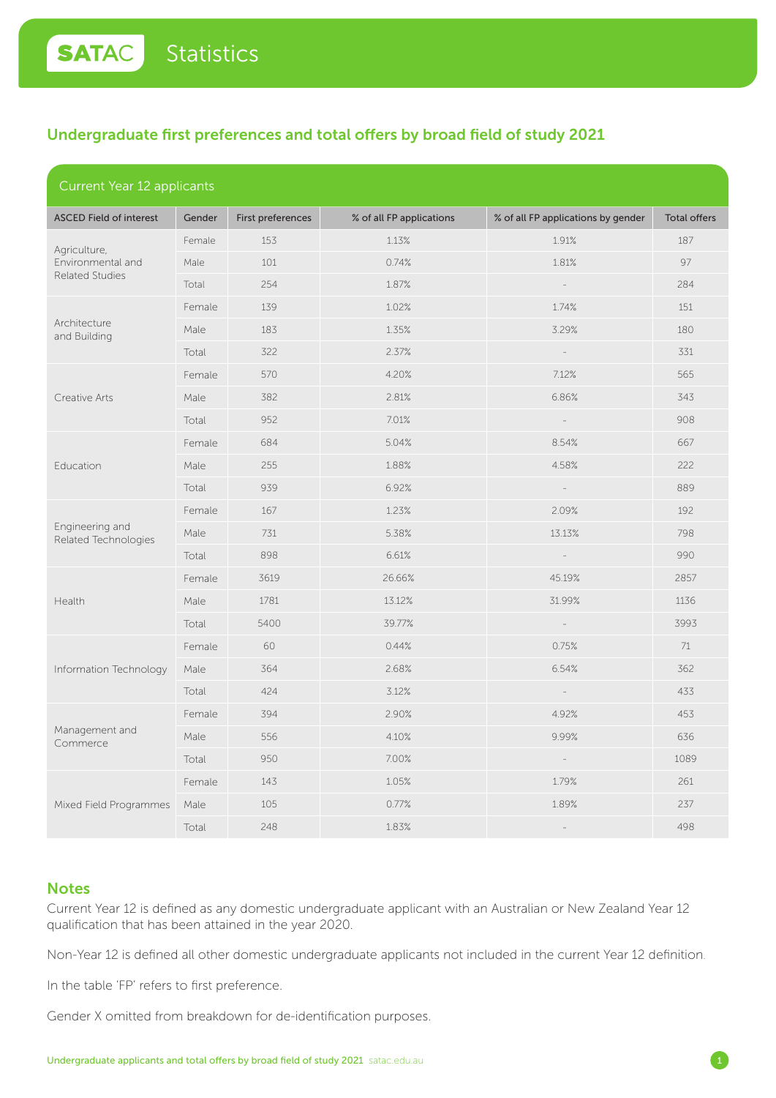## Undergraduate first preferences and total offers by broad field of study 2021

| <b>Current Year 12 applicants</b>              |        |                   |                          |                                    |              |
|------------------------------------------------|--------|-------------------|--------------------------|------------------------------------|--------------|
| <b>ASCED Field of interest</b>                 | Gender | First preferences | % of all FP applications | % of all FP applications by gender | Total offers |
| Agriculture,<br>Environmental and              | Female | 153               | 1.13%                    | 1.91%                              | 187          |
|                                                | Male   | 101               | 0.74%                    | 1.81%                              | 97           |
| <b>Related Studies</b>                         | Total  | 254               | 1.87%                    |                                    | 284          |
|                                                | Female | 139               | 1.02%                    | 1.74%                              | 151          |
| Architecture<br>and Building                   | Male   | 183               | 1.35%                    | 3.29%                              | 180          |
|                                                | Total  | 322               | 2.37%                    |                                    | 331          |
|                                                | Female | 570               | 4.20%                    | 7.12%                              | 565          |
| Creative Arts                                  | Male   | 382               | 2.81%                    | 6.86%                              | 343          |
|                                                | Total  | 952               | 7.01%                    | $\overline{\phantom{a}}$           | 908          |
|                                                | Female | 684               | 5.04%                    | 8.54%                              | 667          |
| Education                                      | Male   | 255               | 1.88%                    | 4.58%                              | 222          |
|                                                | Total  | 939               | 6.92%                    | $\sim$                             | 889          |
|                                                | Female | 167               | 1.23%                    | 2.09%                              | 192          |
| Engineering and<br><b>Related Technologies</b> | Male   | 731               | 5.38%                    | 13.13%                             | 798          |
|                                                | Total  | 898               | 6.61%                    | $\overline{\phantom{a}}$           | 990          |
|                                                | Female | 3619              | 26.66%                   | 45.19%                             | 2857         |
| Health                                         | Male   | 1781              | 13.12%                   | 31.99%                             | 1136         |
|                                                | Total  | 5400              | 39.77%                   |                                    | 3993         |
|                                                | Female | 60                | 0.44%                    | 0.75%                              | 71           |
| Information Technology                         | Male   | 364               | 2.68%                    | 6.54%                              | 362          |
|                                                | Total  | 424               | 3.12%                    |                                    | 433          |
| Management and<br>Commerce                     | Female | 394               | 2.90%                    | 4.92%                              | 453          |
|                                                | Male   | 556               | 4.10%                    | 9.99%                              | 636          |
|                                                | Total  | 950               | 7.00%                    | $\equiv$                           | 1089         |
|                                                | Female | 143               | 1.05%                    | 1.79%                              | 261          |
| Mixed Field Programmes                         | Male   | 105               | 0.77%                    | 1.89%                              | 237          |
|                                                | Total  | 248               | 1.83%                    |                                    | 498          |

### **Notes**

Current Year 12 is defined as any domestic undergraduate applicant with an Australian or New Zealand Year 12 qualification that has been attained in the year 2020.

Non-Year 12 is defined all other domestic undergraduate applicants not included in the current Year 12 definition.

In the table 'FP' refers to first preference.

Gender X omitted from breakdown for de-identification purposes.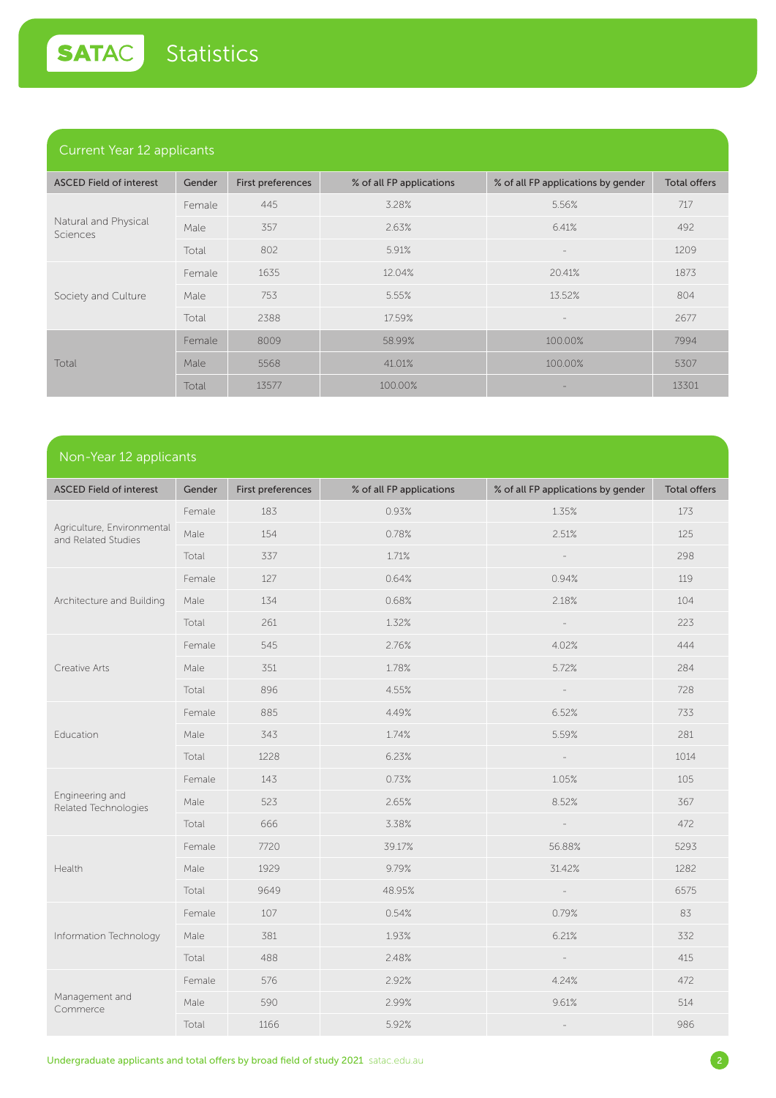### Current Year 12 applicants

| <b>ASCED Field of interest</b>   | Gender | First preferences | % of all FP applications | % of all FP applications by gender | <b>Total offers</b> |
|----------------------------------|--------|-------------------|--------------------------|------------------------------------|---------------------|
| Natural and Physical<br>Sciences | Female | 445               | 3.28%                    | 5.56%                              | 717                 |
|                                  | Male   | 357               | 2.63%                    | 6.41%                              | 492                 |
|                                  | Total  | 802               | 5.91%                    |                                    | 1209                |
| Society and Culture              | Female | 1635              | 12.04%                   | 20.41%                             | 1873                |
|                                  | Male   | 753               | 5.55%                    | 13.52%                             | 804                 |
|                                  | Total  | 2388              | 17.59%                   | $\overline{\phantom{a}}$           | 2677                |
| Total                            | Female | 8009              | 58.99%                   | 100.00%                            | 7994                |
|                                  | Male   | 5568              | 41.01%                   | 100.00%                            | 5307                |
|                                  | Total  | 13577             | 100.00%                  |                                    | 13301               |

# Non-Year 12 applicants

| <b>ASCED Field of interest</b>                    | Gender | First preferences | % of all FP applications | % of all FP applications by gender | <b>Total offers</b> |
|---------------------------------------------------|--------|-------------------|--------------------------|------------------------------------|---------------------|
| Agriculture, Environmental<br>and Related Studies | Female | 183               | 0.93%                    | 1.35%                              | 173                 |
|                                                   | Male   | 154               | 0.78%                    | 2.51%                              | 125                 |
|                                                   | Total  | 337               | 1.71%                    |                                    | 298                 |
|                                                   | Female | 127               | 0.64%                    | 0.94%                              | 119                 |
| Architecture and Building                         | Male   | 134               | 0.68%                    | 2.18%                              | 104                 |
|                                                   | Total  | 261               | 1.32%                    |                                    | 223                 |
|                                                   | Female | 545               | 2.76%                    | 4.02%                              | 444                 |
| Creative Arts                                     | Male   | 351               | 1.78%                    | 5.72%                              | 284                 |
|                                                   | Total  | 896               | 4.55%                    |                                    | 728                 |
|                                                   | Female | 885               | 4.49%                    | 6.52%                              | 733                 |
| Education                                         | Male   | 343               | 1.74%                    | 5.59%                              | 281                 |
|                                                   | Total  | 1228              | 6.23%                    |                                    | 1014                |
|                                                   | Female | 143               | 0.73%                    | 1.05%                              | 105                 |
| Engineering and<br>Related Technologies           | Male   | 523               | 2.65%                    | 8.52%                              | 367                 |
|                                                   | Total  | 666               | 3.38%                    |                                    | 472                 |
|                                                   | Female | 7720              | 39.17%                   | 56.88%                             | 5293                |
| Health                                            | Male   | 1929              | 9.79%                    | 31.42%                             | 1282                |
|                                                   | Total  | 9649              | 48.95%                   |                                    | 6575                |
| Information Technology                            | Female | 107               | 0.54%                    | 0.79%                              | 83                  |
|                                                   | Male   | 381               | 1.93%                    | 6.21%                              | 332                 |
|                                                   | Total  | 488               | 2.48%                    |                                    | 415                 |
| Management and<br>Commerce                        | Female | 576               | 2.92%                    | 4.24%                              | 472                 |
|                                                   | Male   | 590               | 2.99%                    | 9.61%                              | 514                 |
|                                                   | Total  | 1166              | 5.92%                    |                                    | 986                 |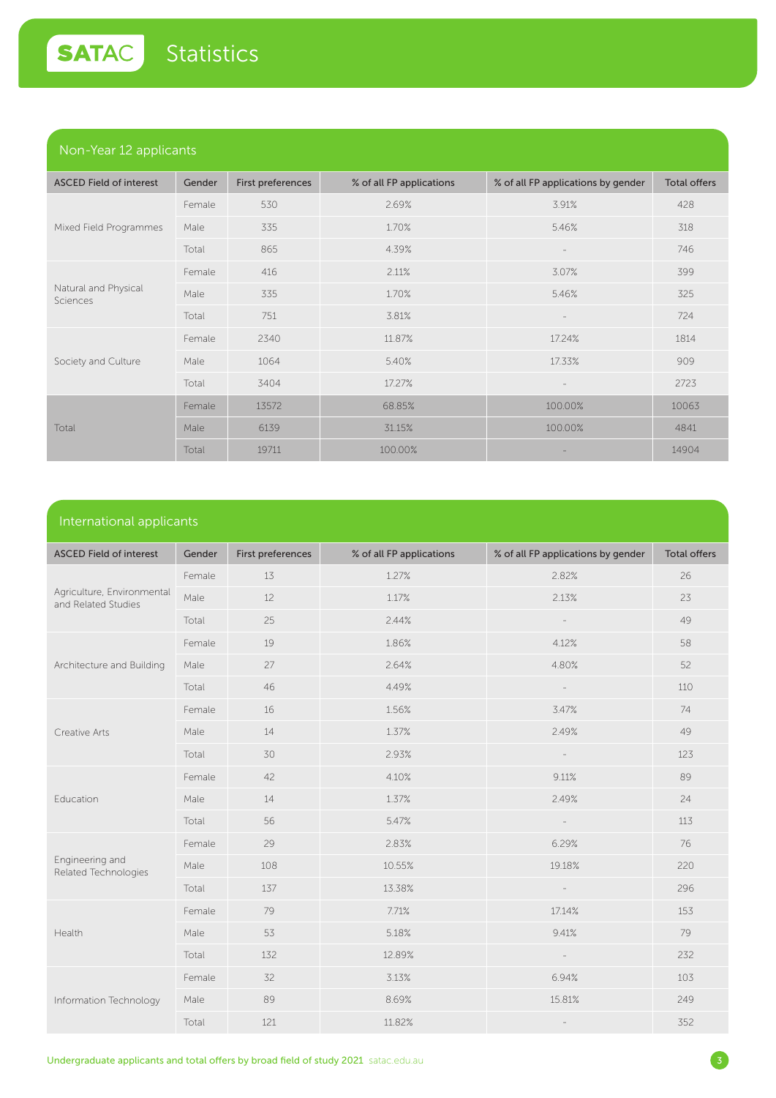### Non-Year 12 applicants

| .                                |        |                   |                          |                                    |                     |
|----------------------------------|--------|-------------------|--------------------------|------------------------------------|---------------------|
| <b>ASCED Field of interest</b>   | Gender | First preferences | % of all FP applications | % of all FP applications by gender | <b>Total offers</b> |
|                                  | Female | 530               | 2.69%                    | 3.91%                              | 428                 |
| Mixed Field Programmes           | Male   | 335               | 1.70%                    | 5.46%                              | 318                 |
|                                  | Total  | 865               | 4.39%                    | $\overline{\phantom{a}}$           | 746                 |
| Natural and Physical<br>Sciences | Female | 416               | 2.11%                    | 3.07%                              | 399                 |
|                                  | Male   | 335               | 1.70%                    | 5.46%                              | 325                 |
|                                  | Total  | 751               | 3.81%                    | $\overline{\phantom{a}}$           | 724                 |
| Society and Culture              | Female | 2340              | 11.87%                   | 17.24%                             | 1814                |
|                                  | Male   | 1064              | 5.40%                    | 17.33%                             | 909                 |
|                                  | Total  | 3404              | 17.27%                   | $\overline{\phantom{a}}$           | 2723                |
| Total                            | Female | 13572             | 68.85%                   | 100.00%                            | 10063               |
|                                  | Male   | 6139              | 31.15%                   | 100.00%                            | 4841                |
|                                  | Total  | 19711             | 100.00%                  |                                    | 14904               |

#### International applicants

| <b>ASCED Field of interest</b>                    | Gender | First preferences | % of all FP applications | % of all FP applications by gender | <b>Total offers</b> |
|---------------------------------------------------|--------|-------------------|--------------------------|------------------------------------|---------------------|
| Agriculture, Environmental<br>and Related Studies | Female | 13                | 1.27%                    | 2.82%                              | 26                  |
|                                                   | Male   | 12                | 1.17%                    | 2.13%                              | 23                  |
|                                                   | Total  | 25                | 2.44%                    |                                    | 49                  |
|                                                   | Female | 19                | 1.86%                    | 4.12%                              | 58                  |
| Architecture and Building                         | Male   | 27                | 2.64%                    | 4.80%                              | 52                  |
|                                                   | Total  | 46                | 4.49%                    |                                    | 110                 |
|                                                   | Female | 16                | 1.56%                    | 3.47%                              | 74                  |
| Creative Arts                                     | Male   | 14                | 1.37%                    | 2.49%                              | 49                  |
|                                                   | Total  | 30                | 2.93%                    |                                    | 123                 |
|                                                   | Female | 42                | 4.10%                    | 9.11%                              | 89                  |
| Education                                         | Male   | 14                | 1.37%                    | 2.49%                              | 24                  |
|                                                   | Total  | 56                | 5.47%                    |                                    | 113                 |
|                                                   | Female | 29                | 2.83%                    | 6.29%                              | 76                  |
| Engineering and<br>Related Technologies           | Male   | 108               | 10.55%                   | 19.18%                             | 220                 |
|                                                   | Total  | 137               | 13.38%                   |                                    | 296                 |
| Health                                            | Female | 79                | 7.71%                    | 17.14%                             | 153                 |
|                                                   | Male   | 53                | 5.18%                    | 9.41%                              | 79                  |
|                                                   | Total  | 132               | 12.89%                   | $\overline{\phantom{a}}$           | 232                 |
| Information Technology                            | Female | 32                | 3.13%                    | 6.94%                              | 103                 |
|                                                   | Male   | 89                | 8.69%                    | 15.81%                             | 249                 |
|                                                   | Total  | 121               | 11.82%                   | $\overline{\phantom{a}}$           | 352                 |